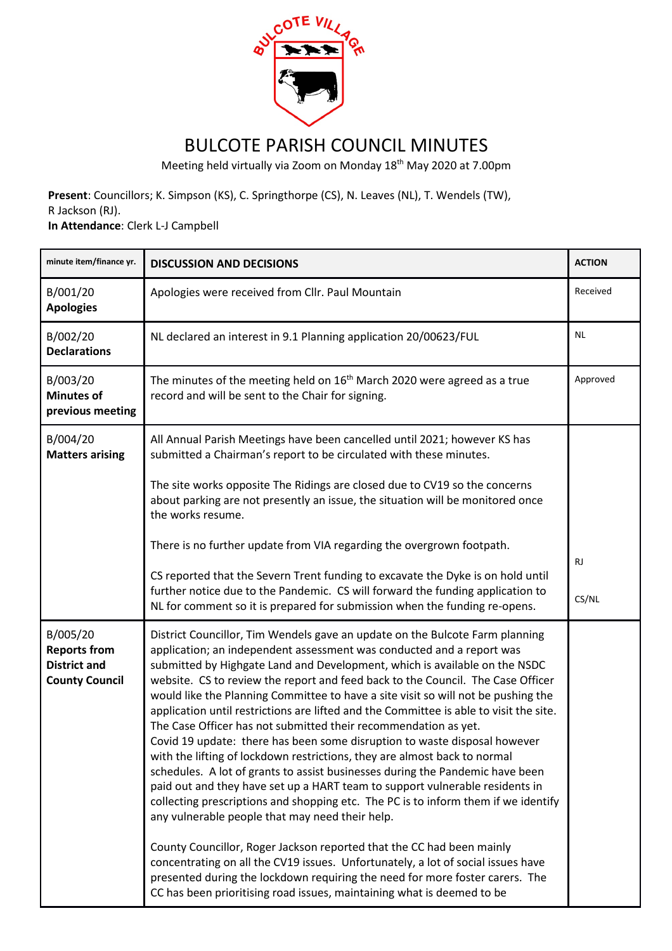

## BULCOTE PARISH COUNCIL MINUTES

Meeting held virtually via Zoom on Monday 18th May 2020 at 7.00pm

**Present**: Councillors; K. Simpson (KS), C. Springthorpe (CS), N. Leaves (NL), T. Wendels (TW), R Jackson (RJ).

**In Attendance**: Clerk L-J Campbell

| minute item/finance yr.                                                         | <b>DISCUSSION AND DECISIONS</b>                                                                                                                                                                                                                                                                                                                                                                                                                                                                                                                                                                                                                                                                                                                                                                                                                                                                                                                                                                                                                                                                                                                                                                           | <b>ACTION</b>      |
|---------------------------------------------------------------------------------|-----------------------------------------------------------------------------------------------------------------------------------------------------------------------------------------------------------------------------------------------------------------------------------------------------------------------------------------------------------------------------------------------------------------------------------------------------------------------------------------------------------------------------------------------------------------------------------------------------------------------------------------------------------------------------------------------------------------------------------------------------------------------------------------------------------------------------------------------------------------------------------------------------------------------------------------------------------------------------------------------------------------------------------------------------------------------------------------------------------------------------------------------------------------------------------------------------------|--------------------|
| B/001/20<br><b>Apologies</b>                                                    | Apologies were received from Cllr. Paul Mountain                                                                                                                                                                                                                                                                                                                                                                                                                                                                                                                                                                                                                                                                                                                                                                                                                                                                                                                                                                                                                                                                                                                                                          | Received           |
| B/002/20<br><b>Declarations</b>                                                 | NL declared an interest in 9.1 Planning application 20/00623/FUL                                                                                                                                                                                                                                                                                                                                                                                                                                                                                                                                                                                                                                                                                                                                                                                                                                                                                                                                                                                                                                                                                                                                          | <b>NL</b>          |
| B/003/20<br><b>Minutes of</b><br>previous meeting                               | The minutes of the meeting held on 16 <sup>th</sup> March 2020 were agreed as a true<br>record and will be sent to the Chair for signing.                                                                                                                                                                                                                                                                                                                                                                                                                                                                                                                                                                                                                                                                                                                                                                                                                                                                                                                                                                                                                                                                 | Approved           |
| B/004/20<br><b>Matters arising</b>                                              | All Annual Parish Meetings have been cancelled until 2021; however KS has<br>submitted a Chairman's report to be circulated with these minutes.                                                                                                                                                                                                                                                                                                                                                                                                                                                                                                                                                                                                                                                                                                                                                                                                                                                                                                                                                                                                                                                           |                    |
|                                                                                 | The site works opposite The Ridings are closed due to CV19 so the concerns<br>about parking are not presently an issue, the situation will be monitored once<br>the works resume.                                                                                                                                                                                                                                                                                                                                                                                                                                                                                                                                                                                                                                                                                                                                                                                                                                                                                                                                                                                                                         |                    |
|                                                                                 | There is no further update from VIA regarding the overgrown footpath.                                                                                                                                                                                                                                                                                                                                                                                                                                                                                                                                                                                                                                                                                                                                                                                                                                                                                                                                                                                                                                                                                                                                     |                    |
|                                                                                 | CS reported that the Severn Trent funding to excavate the Dyke is on hold until<br>further notice due to the Pandemic. CS will forward the funding application to<br>NL for comment so it is prepared for submission when the funding re-opens.                                                                                                                                                                                                                                                                                                                                                                                                                                                                                                                                                                                                                                                                                                                                                                                                                                                                                                                                                           | <b>RJ</b><br>CS/NL |
| B/005/20<br><b>Reports from</b><br><b>District and</b><br><b>County Council</b> | District Councillor, Tim Wendels gave an update on the Bulcote Farm planning<br>application; an independent assessment was conducted and a report was<br>submitted by Highgate Land and Development, which is available on the NSDC<br>website. CS to review the report and feed back to the Council. The Case Officer<br>would like the Planning Committee to have a site visit so will not be pushing the<br>application until restrictions are lifted and the Committee is able to visit the site.<br>The Case Officer has not submitted their recommendation as yet.<br>Covid 19 update: there has been some disruption to waste disposal however<br>with the lifting of lockdown restrictions, they are almost back to normal<br>schedules. A lot of grants to assist businesses during the Pandemic have been<br>paid out and they have set up a HART team to support vulnerable residents in<br>collecting prescriptions and shopping etc. The PC is to inform them if we identify<br>any vulnerable people that may need their help.<br>County Councillor, Roger Jackson reported that the CC had been mainly<br>concentrating on all the CV19 issues. Unfortunately, a lot of social issues have |                    |
|                                                                                 | presented during the lockdown requiring the need for more foster carers. The<br>CC has been prioritising road issues, maintaining what is deemed to be                                                                                                                                                                                                                                                                                                                                                                                                                                                                                                                                                                                                                                                                                                                                                                                                                                                                                                                                                                                                                                                    |                    |